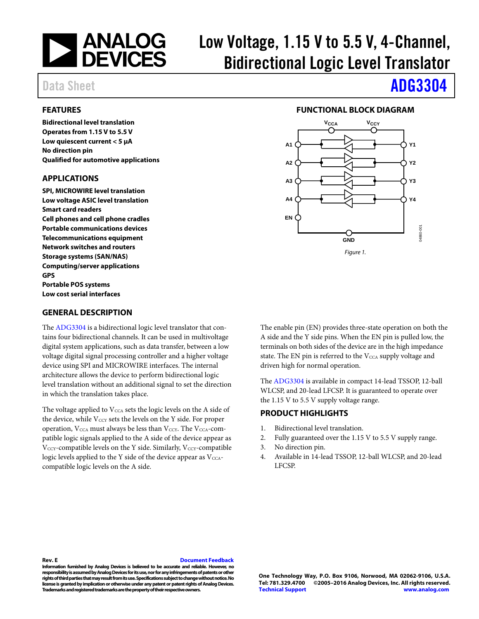

# Low Voltage, 1.15 V to 5.5 V, 4-Channel, Bidirectional Logic Level Translator

### <span id="page-0-0"></span>**FEATURES**

**Bidirectional level translation Operates from 1.15 V to 5.5 V Low quiescent current < 5 µA No direction pin Qualified for automotive applications**

### <span id="page-0-1"></span>**APPLICATIONS**

**SPI, MICROWIRE level translation Low voltage ASIC level translation Smart card readers Cell phones and cell phone cradles Portable communications devices Telecommunications equipment Network switches and routers Storage systems (SAN/NAS) Computing/server applications GPS Portable POS systems Low cost serial interfaces**

### <span id="page-0-3"></span>**GENERAL DESCRIPTION**

The [ADG3304](http://www.analog.com/ADG3304?doc=adg3304.pdf) is a bidirectional logic level translator that contains four bidirectional channels. It can be used in multivoltage digital system applications, such as data transfer, between a low voltage digital signal processing controller and a higher voltage device using SPI and MICROWIRE interfaces. The internal architecture allows the device to perform bidirectional logic level translation without an additional signal to set the direction in which the translation takes place.

The voltage applied to  $V_{\text{CCA}}$  sets the logic levels on the A side of the device, while  $V_{\text{CCY}}$  sets the levels on the Y side. For proper operation,  $V_{\text{CCA}}$  must always be less than  $V_{\text{CCY}}$ . The  $V_{\text{CCA}}$ -compatible logic signals applied to the A side of the device appear as  $V<sub>CCY</sub>$ -compatible levels on the Y side. Similarly,  $V<sub>CCY</sub>$ -compatible logic levels applied to the Y side of the device appear as  $V_{\text{CCA}}$ compatible logic levels on the A side.

# Data Sheet **[ADG3304](http://www.analog.com/ADG3304?doc=adg3304.pdf)**

### **FUNCTIONAL BLOCK DIAGRAM**

<span id="page-0-2"></span>

The enable pin (EN) provides three-state operation on both the A side and the Y side pins. When the EN pin is pulled low, the terminals on both sides of the device are in the high impedance state. The EN pin is referred to the  $V_{\text{CCA}}$  supply voltage and driven high for normal operation.

The [ADG3304](http://www.analog.com/ADG3304?doc=adg3304.pdf) is available in compact 14-lead TSSOP, 12-ball WLCSP, and 20-lead LFCSP. It is guaranteed to operate over the 1.15 V to 5.5 V supply voltage range.

## <span id="page-0-4"></span>**PRODUCT HIGHLIGHTS**

- 1. Bidirectional level translation.
- 2. Fully guaranteed over the 1.15 V to 5.5 V supply range.
- 3. No direction pin.
- 4. Available in 14-lead TSSOP, 12-ball WLCSP, and 20-lead LFCSP.

**Rev. E [Document Feedback](https://form.analog.com/Form_Pages/feedback/documentfeedback.aspx?doc=ADG3304.pdf&product=ADG3304&rev=E)**

**Information furnished by Analog Devices is believed to be accurate and reliable. However, no responsibility is assumed by Analog Devices for its use, nor for any infringements of patents or other rights of third parties that may result from its use. Specifications subject to change without notice. No license is granted by implication or otherwise under any patent or patent rights of Analog Devices. Trademarks and registered trademarks are the property of their respective owners.**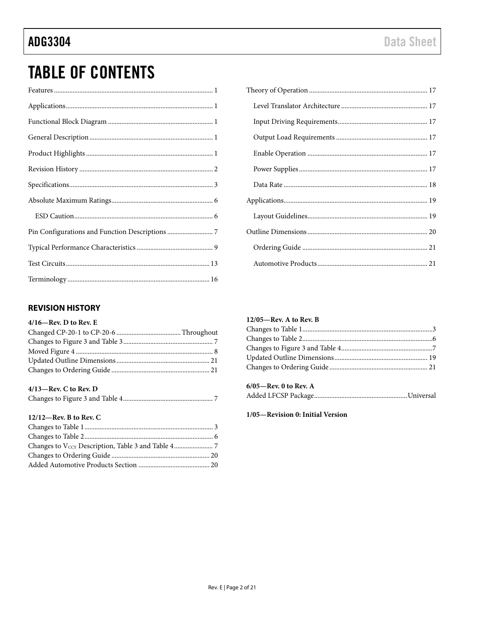# **TABLE OF CONTENTS**

## <span id="page-1-0"></span>**REVISION HISTORY**

### $4/16$ —Rev. D to Rev. E

### $4/13$ -Rev. C to Rev. D

|--|

## 12/12-Rev. B to Rev. C

### $12/05$ —Rev. A to Rev. B

### 6/05-Rev. 0 to Rev. A

## 1/05-Revision 0: Initial Version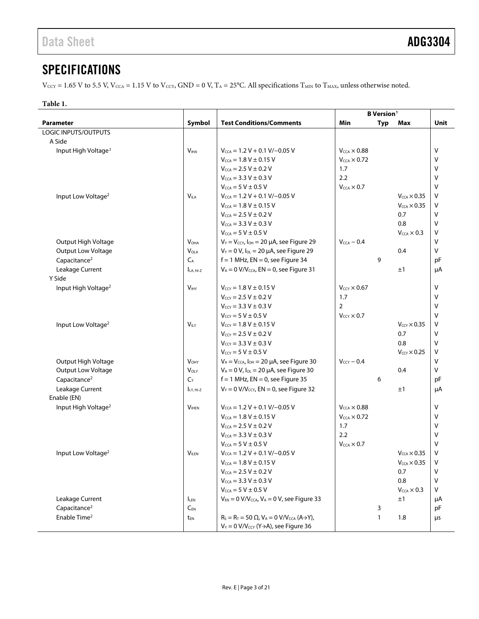# <span id="page-2-0"></span>**SPECIFICATIONS**

 $V_{\text{CCY}} = 1.65 \text{ V}$  to 5.5 V,  $V_{\text{CCA}} = 1.15 \text{ V}$  to  $V_{\text{CCY}}$ ,  $\text{GND} = 0 \text{ V}$ ,  $T_A = 25^{\circ}\text{C}$ . All specifications  $T_{\text{MIN}}$  to  $T_{\text{MAX}}$ , unless otherwise noted.

### <span id="page-2-1"></span>**Table 1.**

| Symbol<br><b>Test Conditions/Comments</b><br>Unit<br><b>Parameter</b><br>Min<br><b>Typ</b><br>Max<br><b>LOGIC INPUTS/OUTPUTS</b><br>A Side<br>Input High Voltage <sup>2</sup><br>V <sub>HA</sub><br>$V_{CCA} = 1.2 V + 0.1 V/-0.05 V$<br>$V_{CCA} \times 0.88$<br>V<br>$V_{\text{CCA}} = 1.8 V \pm 0.15 V$<br>$V_{\text{CCA}} \times 0.72$<br>v<br>$V_{CCA} = 2.5 V \pm 0.2 V$<br>1.7<br>v<br>$V_{\text{CCA}} = 3.3 V \pm 0.3 V$<br>2.2<br>v<br>$V_{\text{CCA}} = 5 V \pm 0.5 V$<br>$V_{\text{CCA}} \times 0.7$<br>v<br>$V_{CCA} = 1.2 V + 0.1 V/-0.05 V$<br>v<br>Input Low Voltage <sup>2</sup><br><b>VILA</b><br>$V_{\text{CCA}} \times 0.35$<br>$V_{\text{CCA}} = 1.8 V \pm 0.15 V$<br>v<br>$V_{\text{CCA}} \times 0.35$<br>$V_{\text{CCA}} = 2.5 V \pm 0.2 V$<br>0.7<br>V<br>$V_{CCA} = 3.3 V \pm 0.3 V$<br>0.8<br>V<br>$V_{\text{CCA}} = 5 V \pm 0.5 V$<br>V<br>$V_{\text{CCA}} \times 0.3$<br>$\vee$<br>$V_Y = V_{CCY}$ , $I_{OH} = 20 \mu A$ , see Figure 29<br>$V_{CCA}$ - 0.4<br>Output High Voltage<br>$V_{OHA}$<br>v<br>Output Low Voltage<br>$V_Y = 0 V$ , $I_{OL} = 20 \mu A$ , see Figure 29<br>$V_{OLA}$<br>0.4<br>Capacitance <sup>2</sup><br>$C_A$<br>$f = 1$ MHz, EN = 0, see Figure 34<br>9<br>pF<br>Leakage Current<br>$V_A = 0$ V/V <sub>CCA</sub> , EN = 0, see Figure 31<br>$ILA. Hi-Z$<br>±1<br>μA<br>Y Side<br>$V_{CCY} = 1.8 V \pm 0.15 V$<br>$V_{\text{CCY}} \times 0.67$<br>v<br>Input High Voltage <sup>2</sup><br>V <sub>INT</sub><br>$V_{\text{CCY}} = 2.5 V \pm 0.2 V$<br>1.7<br>v<br>$\overline{2}$<br>$V_{\text{CCY}} = 3.3 \text{ V} \pm 0.3 \text{ V}$<br>v<br>V<br>$V_{CCY} = 5 V \pm 0.5 V$<br>$V_{CCY} \times 0.7$<br>$V_{ILY}$<br>$V_{\text{CCY}} = 1.8 V \pm 0.15 V$<br>V<br>Input Low Voltage <sup>2</sup><br>$V_{CCY} \times 0.35$<br>$V_{\text{CCY}} = 2.5 V \pm 0.2 V$<br>$\vee$<br>0.7<br>$\vee$<br>$V_{\text{CCY}} = 3.3 \text{ V} \pm 0.3 \text{ V}$<br>0.8<br>$V_{\text{ccv}} = 5 V \pm 0.5 V$<br>v<br>$V_{\text{CCY}} \times 0.25$<br>$\vee$<br>$V_A = V_{CCA}$ , $I_{OH} = 20 \mu A$ , see Figure 30<br>Output High Voltage<br>V <sub>OHY</sub><br>$V_{\text{ccv}}$ – 0.4<br>$\vee$<br>Output Low Voltage<br>$V_A = 0 V$ , $I_{OL} = 20 \mu A$ , see Figure 30<br>$V_{OLY}$<br>0.4<br>Capacitance <sup>2</sup><br>$f = 1$ MHz, EN = 0, see Figure 35<br>$C_{Y}$<br>6<br>рF<br>Leakage Current<br>$V_Y = 0$ V/V <sub>CCY</sub> , EN = 0, see Figure 32<br>±1<br>μA<br>LY, Hi-Z<br>Enable (EN)<br>$V_{\text{CCA}} \times 0.88$<br>Input High Voltage <sup>2</sup><br><b>VIHEN</b><br>$V_{\text{CCA}} = 1.2 V + 0.1 V/-0.05 V$<br>v<br>$V_{\text{CCA}} \times 0.72$<br>$V_{CCA} = 1.8 V \pm 0.15 V$<br>v<br>V<br>$V_{CCA} = 2.5 V \pm 0.2 V$<br>1.7<br>2.2<br>$V_{\text{CCA}} = 3.3 V \pm 0.3 V$<br>v<br>$V_{\text{CCA}} = 5 V \pm 0.5 V$<br>$V_{\text{CCA}} \times 0.7$<br>v<br>v<br><b>VILEN</b><br>$V_{\text{CCA}} = 1.2 V + 0.1 V/-0.05 V$<br>$V_{\text{CCA}} \times 0.35$<br>Input Low Voltage <sup>2</sup><br>$V_{\text{CCA}} \times 0.35$<br>$V_{\text{CCA}} = 1.8 V \pm 0.15 V$<br>٧<br>$V_{\text{CCA}} = 2.5 V \pm 0.2 V$<br>0.7<br>V<br>$V_{\text{CCA}} = 3.3 V \pm 0.3 V$<br>v<br>0.8<br>$V_{\text{CCA}} = 5 V \pm 0.5 V$<br>$\vee$<br>$V_{\text{CCA}} \times 0.3$<br>Leakage Current<br>$V_{EN} = 0$ V/V <sub>CCA</sub> , V <sub>A</sub> = 0 V, see Figure 33<br>±1<br>μA<br><b>LEN</b><br>Capacitance <sup>2</sup><br>$C_{FN}$<br>3<br>pF<br>Enable Time <sup>2</sup><br>$R_S = R_T = 50 \Omega$ , $V_A = 0 V/V_{CCA} (A \rightarrow Y)$ ,<br>$\mathbf{1}$<br>1.8<br>t <sub>EN</sub><br>μs<br>$V_Y = 0$ V/V <sub>CCY</sub> (Y $\rightarrow$ A), see Figure 36 |  | <b>B</b> Version <sup>1</sup> |  |  |  |
|----------------------------------------------------------------------------------------------------------------------------------------------------------------------------------------------------------------------------------------------------------------------------------------------------------------------------------------------------------------------------------------------------------------------------------------------------------------------------------------------------------------------------------------------------------------------------------------------------------------------------------------------------------------------------------------------------------------------------------------------------------------------------------------------------------------------------------------------------------------------------------------------------------------------------------------------------------------------------------------------------------------------------------------------------------------------------------------------------------------------------------------------------------------------------------------------------------------------------------------------------------------------------------------------------------------------------------------------------------------------------------------------------------------------------------------------------------------------------------------------------------------------------------------------------------------------------------------------------------------------------------------------------------------------------------------------------------------------------------------------------------------------------------------------------------------------------------------------------------------------------------------------------------------------------------------------------------------------------------------------------------------------------------------------------------------------------------------------------------------------------------------------------------------------------------------------------------------------------------------------------------------------------------------------------------------------------------------------------------------------------------------------------------------------------------------------------------------------------------------------------------------------------------------------------------------------------------------------------------------------------------------------------------------------------------------------------------------------------------------------------------------------------------------------------------------------------------------------------------------------------------------------------------------------------------------------------------------------------------------------------------------------------------------------------------------------------------------------------------------------------------------------------------------------------------------------------------------------------------------------------------------------------------------------------------------------------------------------------------------------------------------------------------------------------------------------------------------------------------------------------------------------------------------------------------------------------------------------------------------------------|--|-------------------------------|--|--|--|
|                                                                                                                                                                                                                                                                                                                                                                                                                                                                                                                                                                                                                                                                                                                                                                                                                                                                                                                                                                                                                                                                                                                                                                                                                                                                                                                                                                                                                                                                                                                                                                                                                                                                                                                                                                                                                                                                                                                                                                                                                                                                                                                                                                                                                                                                                                                                                                                                                                                                                                                                                                                                                                                                                                                                                                                                                                                                                                                                                                                                                                                                                                                                                                                                                                                                                                                                                                                                                                                                                                                                                                                                                            |  |                               |  |  |  |
|                                                                                                                                                                                                                                                                                                                                                                                                                                                                                                                                                                                                                                                                                                                                                                                                                                                                                                                                                                                                                                                                                                                                                                                                                                                                                                                                                                                                                                                                                                                                                                                                                                                                                                                                                                                                                                                                                                                                                                                                                                                                                                                                                                                                                                                                                                                                                                                                                                                                                                                                                                                                                                                                                                                                                                                                                                                                                                                                                                                                                                                                                                                                                                                                                                                                                                                                                                                                                                                                                                                                                                                                                            |  |                               |  |  |  |
|                                                                                                                                                                                                                                                                                                                                                                                                                                                                                                                                                                                                                                                                                                                                                                                                                                                                                                                                                                                                                                                                                                                                                                                                                                                                                                                                                                                                                                                                                                                                                                                                                                                                                                                                                                                                                                                                                                                                                                                                                                                                                                                                                                                                                                                                                                                                                                                                                                                                                                                                                                                                                                                                                                                                                                                                                                                                                                                                                                                                                                                                                                                                                                                                                                                                                                                                                                                                                                                                                                                                                                                                                            |  |                               |  |  |  |
|                                                                                                                                                                                                                                                                                                                                                                                                                                                                                                                                                                                                                                                                                                                                                                                                                                                                                                                                                                                                                                                                                                                                                                                                                                                                                                                                                                                                                                                                                                                                                                                                                                                                                                                                                                                                                                                                                                                                                                                                                                                                                                                                                                                                                                                                                                                                                                                                                                                                                                                                                                                                                                                                                                                                                                                                                                                                                                                                                                                                                                                                                                                                                                                                                                                                                                                                                                                                                                                                                                                                                                                                                            |  |                               |  |  |  |
|                                                                                                                                                                                                                                                                                                                                                                                                                                                                                                                                                                                                                                                                                                                                                                                                                                                                                                                                                                                                                                                                                                                                                                                                                                                                                                                                                                                                                                                                                                                                                                                                                                                                                                                                                                                                                                                                                                                                                                                                                                                                                                                                                                                                                                                                                                                                                                                                                                                                                                                                                                                                                                                                                                                                                                                                                                                                                                                                                                                                                                                                                                                                                                                                                                                                                                                                                                                                                                                                                                                                                                                                                            |  |                               |  |  |  |
|                                                                                                                                                                                                                                                                                                                                                                                                                                                                                                                                                                                                                                                                                                                                                                                                                                                                                                                                                                                                                                                                                                                                                                                                                                                                                                                                                                                                                                                                                                                                                                                                                                                                                                                                                                                                                                                                                                                                                                                                                                                                                                                                                                                                                                                                                                                                                                                                                                                                                                                                                                                                                                                                                                                                                                                                                                                                                                                                                                                                                                                                                                                                                                                                                                                                                                                                                                                                                                                                                                                                                                                                                            |  |                               |  |  |  |
|                                                                                                                                                                                                                                                                                                                                                                                                                                                                                                                                                                                                                                                                                                                                                                                                                                                                                                                                                                                                                                                                                                                                                                                                                                                                                                                                                                                                                                                                                                                                                                                                                                                                                                                                                                                                                                                                                                                                                                                                                                                                                                                                                                                                                                                                                                                                                                                                                                                                                                                                                                                                                                                                                                                                                                                                                                                                                                                                                                                                                                                                                                                                                                                                                                                                                                                                                                                                                                                                                                                                                                                                                            |  |                               |  |  |  |
|                                                                                                                                                                                                                                                                                                                                                                                                                                                                                                                                                                                                                                                                                                                                                                                                                                                                                                                                                                                                                                                                                                                                                                                                                                                                                                                                                                                                                                                                                                                                                                                                                                                                                                                                                                                                                                                                                                                                                                                                                                                                                                                                                                                                                                                                                                                                                                                                                                                                                                                                                                                                                                                                                                                                                                                                                                                                                                                                                                                                                                                                                                                                                                                                                                                                                                                                                                                                                                                                                                                                                                                                                            |  |                               |  |  |  |
|                                                                                                                                                                                                                                                                                                                                                                                                                                                                                                                                                                                                                                                                                                                                                                                                                                                                                                                                                                                                                                                                                                                                                                                                                                                                                                                                                                                                                                                                                                                                                                                                                                                                                                                                                                                                                                                                                                                                                                                                                                                                                                                                                                                                                                                                                                                                                                                                                                                                                                                                                                                                                                                                                                                                                                                                                                                                                                                                                                                                                                                                                                                                                                                                                                                                                                                                                                                                                                                                                                                                                                                                                            |  |                               |  |  |  |
|                                                                                                                                                                                                                                                                                                                                                                                                                                                                                                                                                                                                                                                                                                                                                                                                                                                                                                                                                                                                                                                                                                                                                                                                                                                                                                                                                                                                                                                                                                                                                                                                                                                                                                                                                                                                                                                                                                                                                                                                                                                                                                                                                                                                                                                                                                                                                                                                                                                                                                                                                                                                                                                                                                                                                                                                                                                                                                                                                                                                                                                                                                                                                                                                                                                                                                                                                                                                                                                                                                                                                                                                                            |  |                               |  |  |  |
|                                                                                                                                                                                                                                                                                                                                                                                                                                                                                                                                                                                                                                                                                                                                                                                                                                                                                                                                                                                                                                                                                                                                                                                                                                                                                                                                                                                                                                                                                                                                                                                                                                                                                                                                                                                                                                                                                                                                                                                                                                                                                                                                                                                                                                                                                                                                                                                                                                                                                                                                                                                                                                                                                                                                                                                                                                                                                                                                                                                                                                                                                                                                                                                                                                                                                                                                                                                                                                                                                                                                                                                                                            |  |                               |  |  |  |
|                                                                                                                                                                                                                                                                                                                                                                                                                                                                                                                                                                                                                                                                                                                                                                                                                                                                                                                                                                                                                                                                                                                                                                                                                                                                                                                                                                                                                                                                                                                                                                                                                                                                                                                                                                                                                                                                                                                                                                                                                                                                                                                                                                                                                                                                                                                                                                                                                                                                                                                                                                                                                                                                                                                                                                                                                                                                                                                                                                                                                                                                                                                                                                                                                                                                                                                                                                                                                                                                                                                                                                                                                            |  |                               |  |  |  |
|                                                                                                                                                                                                                                                                                                                                                                                                                                                                                                                                                                                                                                                                                                                                                                                                                                                                                                                                                                                                                                                                                                                                                                                                                                                                                                                                                                                                                                                                                                                                                                                                                                                                                                                                                                                                                                                                                                                                                                                                                                                                                                                                                                                                                                                                                                                                                                                                                                                                                                                                                                                                                                                                                                                                                                                                                                                                                                                                                                                                                                                                                                                                                                                                                                                                                                                                                                                                                                                                                                                                                                                                                            |  |                               |  |  |  |
|                                                                                                                                                                                                                                                                                                                                                                                                                                                                                                                                                                                                                                                                                                                                                                                                                                                                                                                                                                                                                                                                                                                                                                                                                                                                                                                                                                                                                                                                                                                                                                                                                                                                                                                                                                                                                                                                                                                                                                                                                                                                                                                                                                                                                                                                                                                                                                                                                                                                                                                                                                                                                                                                                                                                                                                                                                                                                                                                                                                                                                                                                                                                                                                                                                                                                                                                                                                                                                                                                                                                                                                                                            |  |                               |  |  |  |
|                                                                                                                                                                                                                                                                                                                                                                                                                                                                                                                                                                                                                                                                                                                                                                                                                                                                                                                                                                                                                                                                                                                                                                                                                                                                                                                                                                                                                                                                                                                                                                                                                                                                                                                                                                                                                                                                                                                                                                                                                                                                                                                                                                                                                                                                                                                                                                                                                                                                                                                                                                                                                                                                                                                                                                                                                                                                                                                                                                                                                                                                                                                                                                                                                                                                                                                                                                                                                                                                                                                                                                                                                            |  |                               |  |  |  |
|                                                                                                                                                                                                                                                                                                                                                                                                                                                                                                                                                                                                                                                                                                                                                                                                                                                                                                                                                                                                                                                                                                                                                                                                                                                                                                                                                                                                                                                                                                                                                                                                                                                                                                                                                                                                                                                                                                                                                                                                                                                                                                                                                                                                                                                                                                                                                                                                                                                                                                                                                                                                                                                                                                                                                                                                                                                                                                                                                                                                                                                                                                                                                                                                                                                                                                                                                                                                                                                                                                                                                                                                                            |  |                               |  |  |  |
|                                                                                                                                                                                                                                                                                                                                                                                                                                                                                                                                                                                                                                                                                                                                                                                                                                                                                                                                                                                                                                                                                                                                                                                                                                                                                                                                                                                                                                                                                                                                                                                                                                                                                                                                                                                                                                                                                                                                                                                                                                                                                                                                                                                                                                                                                                                                                                                                                                                                                                                                                                                                                                                                                                                                                                                                                                                                                                                                                                                                                                                                                                                                                                                                                                                                                                                                                                                                                                                                                                                                                                                                                            |  |                               |  |  |  |
|                                                                                                                                                                                                                                                                                                                                                                                                                                                                                                                                                                                                                                                                                                                                                                                                                                                                                                                                                                                                                                                                                                                                                                                                                                                                                                                                                                                                                                                                                                                                                                                                                                                                                                                                                                                                                                                                                                                                                                                                                                                                                                                                                                                                                                                                                                                                                                                                                                                                                                                                                                                                                                                                                                                                                                                                                                                                                                                                                                                                                                                                                                                                                                                                                                                                                                                                                                                                                                                                                                                                                                                                                            |  |                               |  |  |  |
|                                                                                                                                                                                                                                                                                                                                                                                                                                                                                                                                                                                                                                                                                                                                                                                                                                                                                                                                                                                                                                                                                                                                                                                                                                                                                                                                                                                                                                                                                                                                                                                                                                                                                                                                                                                                                                                                                                                                                                                                                                                                                                                                                                                                                                                                                                                                                                                                                                                                                                                                                                                                                                                                                                                                                                                                                                                                                                                                                                                                                                                                                                                                                                                                                                                                                                                                                                                                                                                                                                                                                                                                                            |  |                               |  |  |  |
|                                                                                                                                                                                                                                                                                                                                                                                                                                                                                                                                                                                                                                                                                                                                                                                                                                                                                                                                                                                                                                                                                                                                                                                                                                                                                                                                                                                                                                                                                                                                                                                                                                                                                                                                                                                                                                                                                                                                                                                                                                                                                                                                                                                                                                                                                                                                                                                                                                                                                                                                                                                                                                                                                                                                                                                                                                                                                                                                                                                                                                                                                                                                                                                                                                                                                                                                                                                                                                                                                                                                                                                                                            |  |                               |  |  |  |
|                                                                                                                                                                                                                                                                                                                                                                                                                                                                                                                                                                                                                                                                                                                                                                                                                                                                                                                                                                                                                                                                                                                                                                                                                                                                                                                                                                                                                                                                                                                                                                                                                                                                                                                                                                                                                                                                                                                                                                                                                                                                                                                                                                                                                                                                                                                                                                                                                                                                                                                                                                                                                                                                                                                                                                                                                                                                                                                                                                                                                                                                                                                                                                                                                                                                                                                                                                                                                                                                                                                                                                                                                            |  |                               |  |  |  |
|                                                                                                                                                                                                                                                                                                                                                                                                                                                                                                                                                                                                                                                                                                                                                                                                                                                                                                                                                                                                                                                                                                                                                                                                                                                                                                                                                                                                                                                                                                                                                                                                                                                                                                                                                                                                                                                                                                                                                                                                                                                                                                                                                                                                                                                                                                                                                                                                                                                                                                                                                                                                                                                                                                                                                                                                                                                                                                                                                                                                                                                                                                                                                                                                                                                                                                                                                                                                                                                                                                                                                                                                                            |  |                               |  |  |  |
|                                                                                                                                                                                                                                                                                                                                                                                                                                                                                                                                                                                                                                                                                                                                                                                                                                                                                                                                                                                                                                                                                                                                                                                                                                                                                                                                                                                                                                                                                                                                                                                                                                                                                                                                                                                                                                                                                                                                                                                                                                                                                                                                                                                                                                                                                                                                                                                                                                                                                                                                                                                                                                                                                                                                                                                                                                                                                                                                                                                                                                                                                                                                                                                                                                                                                                                                                                                                                                                                                                                                                                                                                            |  |                               |  |  |  |
|                                                                                                                                                                                                                                                                                                                                                                                                                                                                                                                                                                                                                                                                                                                                                                                                                                                                                                                                                                                                                                                                                                                                                                                                                                                                                                                                                                                                                                                                                                                                                                                                                                                                                                                                                                                                                                                                                                                                                                                                                                                                                                                                                                                                                                                                                                                                                                                                                                                                                                                                                                                                                                                                                                                                                                                                                                                                                                                                                                                                                                                                                                                                                                                                                                                                                                                                                                                                                                                                                                                                                                                                                            |  |                               |  |  |  |
|                                                                                                                                                                                                                                                                                                                                                                                                                                                                                                                                                                                                                                                                                                                                                                                                                                                                                                                                                                                                                                                                                                                                                                                                                                                                                                                                                                                                                                                                                                                                                                                                                                                                                                                                                                                                                                                                                                                                                                                                                                                                                                                                                                                                                                                                                                                                                                                                                                                                                                                                                                                                                                                                                                                                                                                                                                                                                                                                                                                                                                                                                                                                                                                                                                                                                                                                                                                                                                                                                                                                                                                                                            |  |                               |  |  |  |
|                                                                                                                                                                                                                                                                                                                                                                                                                                                                                                                                                                                                                                                                                                                                                                                                                                                                                                                                                                                                                                                                                                                                                                                                                                                                                                                                                                                                                                                                                                                                                                                                                                                                                                                                                                                                                                                                                                                                                                                                                                                                                                                                                                                                                                                                                                                                                                                                                                                                                                                                                                                                                                                                                                                                                                                                                                                                                                                                                                                                                                                                                                                                                                                                                                                                                                                                                                                                                                                                                                                                                                                                                            |  |                               |  |  |  |
|                                                                                                                                                                                                                                                                                                                                                                                                                                                                                                                                                                                                                                                                                                                                                                                                                                                                                                                                                                                                                                                                                                                                                                                                                                                                                                                                                                                                                                                                                                                                                                                                                                                                                                                                                                                                                                                                                                                                                                                                                                                                                                                                                                                                                                                                                                                                                                                                                                                                                                                                                                                                                                                                                                                                                                                                                                                                                                                                                                                                                                                                                                                                                                                                                                                                                                                                                                                                                                                                                                                                                                                                                            |  |                               |  |  |  |
|                                                                                                                                                                                                                                                                                                                                                                                                                                                                                                                                                                                                                                                                                                                                                                                                                                                                                                                                                                                                                                                                                                                                                                                                                                                                                                                                                                                                                                                                                                                                                                                                                                                                                                                                                                                                                                                                                                                                                                                                                                                                                                                                                                                                                                                                                                                                                                                                                                                                                                                                                                                                                                                                                                                                                                                                                                                                                                                                                                                                                                                                                                                                                                                                                                                                                                                                                                                                                                                                                                                                                                                                                            |  |                               |  |  |  |
|                                                                                                                                                                                                                                                                                                                                                                                                                                                                                                                                                                                                                                                                                                                                                                                                                                                                                                                                                                                                                                                                                                                                                                                                                                                                                                                                                                                                                                                                                                                                                                                                                                                                                                                                                                                                                                                                                                                                                                                                                                                                                                                                                                                                                                                                                                                                                                                                                                                                                                                                                                                                                                                                                                                                                                                                                                                                                                                                                                                                                                                                                                                                                                                                                                                                                                                                                                                                                                                                                                                                                                                                                            |  |                               |  |  |  |
|                                                                                                                                                                                                                                                                                                                                                                                                                                                                                                                                                                                                                                                                                                                                                                                                                                                                                                                                                                                                                                                                                                                                                                                                                                                                                                                                                                                                                                                                                                                                                                                                                                                                                                                                                                                                                                                                                                                                                                                                                                                                                                                                                                                                                                                                                                                                                                                                                                                                                                                                                                                                                                                                                                                                                                                                                                                                                                                                                                                                                                                                                                                                                                                                                                                                                                                                                                                                                                                                                                                                                                                                                            |  |                               |  |  |  |
|                                                                                                                                                                                                                                                                                                                                                                                                                                                                                                                                                                                                                                                                                                                                                                                                                                                                                                                                                                                                                                                                                                                                                                                                                                                                                                                                                                                                                                                                                                                                                                                                                                                                                                                                                                                                                                                                                                                                                                                                                                                                                                                                                                                                                                                                                                                                                                                                                                                                                                                                                                                                                                                                                                                                                                                                                                                                                                                                                                                                                                                                                                                                                                                                                                                                                                                                                                                                                                                                                                                                                                                                                            |  |                               |  |  |  |
|                                                                                                                                                                                                                                                                                                                                                                                                                                                                                                                                                                                                                                                                                                                                                                                                                                                                                                                                                                                                                                                                                                                                                                                                                                                                                                                                                                                                                                                                                                                                                                                                                                                                                                                                                                                                                                                                                                                                                                                                                                                                                                                                                                                                                                                                                                                                                                                                                                                                                                                                                                                                                                                                                                                                                                                                                                                                                                                                                                                                                                                                                                                                                                                                                                                                                                                                                                                                                                                                                                                                                                                                                            |  |                               |  |  |  |
|                                                                                                                                                                                                                                                                                                                                                                                                                                                                                                                                                                                                                                                                                                                                                                                                                                                                                                                                                                                                                                                                                                                                                                                                                                                                                                                                                                                                                                                                                                                                                                                                                                                                                                                                                                                                                                                                                                                                                                                                                                                                                                                                                                                                                                                                                                                                                                                                                                                                                                                                                                                                                                                                                                                                                                                                                                                                                                                                                                                                                                                                                                                                                                                                                                                                                                                                                                                                                                                                                                                                                                                                                            |  |                               |  |  |  |
|                                                                                                                                                                                                                                                                                                                                                                                                                                                                                                                                                                                                                                                                                                                                                                                                                                                                                                                                                                                                                                                                                                                                                                                                                                                                                                                                                                                                                                                                                                                                                                                                                                                                                                                                                                                                                                                                                                                                                                                                                                                                                                                                                                                                                                                                                                                                                                                                                                                                                                                                                                                                                                                                                                                                                                                                                                                                                                                                                                                                                                                                                                                                                                                                                                                                                                                                                                                                                                                                                                                                                                                                                            |  |                               |  |  |  |
|                                                                                                                                                                                                                                                                                                                                                                                                                                                                                                                                                                                                                                                                                                                                                                                                                                                                                                                                                                                                                                                                                                                                                                                                                                                                                                                                                                                                                                                                                                                                                                                                                                                                                                                                                                                                                                                                                                                                                                                                                                                                                                                                                                                                                                                                                                                                                                                                                                                                                                                                                                                                                                                                                                                                                                                                                                                                                                                                                                                                                                                                                                                                                                                                                                                                                                                                                                                                                                                                                                                                                                                                                            |  |                               |  |  |  |
|                                                                                                                                                                                                                                                                                                                                                                                                                                                                                                                                                                                                                                                                                                                                                                                                                                                                                                                                                                                                                                                                                                                                                                                                                                                                                                                                                                                                                                                                                                                                                                                                                                                                                                                                                                                                                                                                                                                                                                                                                                                                                                                                                                                                                                                                                                                                                                                                                                                                                                                                                                                                                                                                                                                                                                                                                                                                                                                                                                                                                                                                                                                                                                                                                                                                                                                                                                                                                                                                                                                                                                                                                            |  |                               |  |  |  |
|                                                                                                                                                                                                                                                                                                                                                                                                                                                                                                                                                                                                                                                                                                                                                                                                                                                                                                                                                                                                                                                                                                                                                                                                                                                                                                                                                                                                                                                                                                                                                                                                                                                                                                                                                                                                                                                                                                                                                                                                                                                                                                                                                                                                                                                                                                                                                                                                                                                                                                                                                                                                                                                                                                                                                                                                                                                                                                                                                                                                                                                                                                                                                                                                                                                                                                                                                                                                                                                                                                                                                                                                                            |  |                               |  |  |  |
|                                                                                                                                                                                                                                                                                                                                                                                                                                                                                                                                                                                                                                                                                                                                                                                                                                                                                                                                                                                                                                                                                                                                                                                                                                                                                                                                                                                                                                                                                                                                                                                                                                                                                                                                                                                                                                                                                                                                                                                                                                                                                                                                                                                                                                                                                                                                                                                                                                                                                                                                                                                                                                                                                                                                                                                                                                                                                                                                                                                                                                                                                                                                                                                                                                                                                                                                                                                                                                                                                                                                                                                                                            |  |                               |  |  |  |
|                                                                                                                                                                                                                                                                                                                                                                                                                                                                                                                                                                                                                                                                                                                                                                                                                                                                                                                                                                                                                                                                                                                                                                                                                                                                                                                                                                                                                                                                                                                                                                                                                                                                                                                                                                                                                                                                                                                                                                                                                                                                                                                                                                                                                                                                                                                                                                                                                                                                                                                                                                                                                                                                                                                                                                                                                                                                                                                                                                                                                                                                                                                                                                                                                                                                                                                                                                                                                                                                                                                                                                                                                            |  |                               |  |  |  |
|                                                                                                                                                                                                                                                                                                                                                                                                                                                                                                                                                                                                                                                                                                                                                                                                                                                                                                                                                                                                                                                                                                                                                                                                                                                                                                                                                                                                                                                                                                                                                                                                                                                                                                                                                                                                                                                                                                                                                                                                                                                                                                                                                                                                                                                                                                                                                                                                                                                                                                                                                                                                                                                                                                                                                                                                                                                                                                                                                                                                                                                                                                                                                                                                                                                                                                                                                                                                                                                                                                                                                                                                                            |  |                               |  |  |  |
|                                                                                                                                                                                                                                                                                                                                                                                                                                                                                                                                                                                                                                                                                                                                                                                                                                                                                                                                                                                                                                                                                                                                                                                                                                                                                                                                                                                                                                                                                                                                                                                                                                                                                                                                                                                                                                                                                                                                                                                                                                                                                                                                                                                                                                                                                                                                                                                                                                                                                                                                                                                                                                                                                                                                                                                                                                                                                                                                                                                                                                                                                                                                                                                                                                                                                                                                                                                                                                                                                                                                                                                                                            |  |                               |  |  |  |
|                                                                                                                                                                                                                                                                                                                                                                                                                                                                                                                                                                                                                                                                                                                                                                                                                                                                                                                                                                                                                                                                                                                                                                                                                                                                                                                                                                                                                                                                                                                                                                                                                                                                                                                                                                                                                                                                                                                                                                                                                                                                                                                                                                                                                                                                                                                                                                                                                                                                                                                                                                                                                                                                                                                                                                                                                                                                                                                                                                                                                                                                                                                                                                                                                                                                                                                                                                                                                                                                                                                                                                                                                            |  |                               |  |  |  |
|                                                                                                                                                                                                                                                                                                                                                                                                                                                                                                                                                                                                                                                                                                                                                                                                                                                                                                                                                                                                                                                                                                                                                                                                                                                                                                                                                                                                                                                                                                                                                                                                                                                                                                                                                                                                                                                                                                                                                                                                                                                                                                                                                                                                                                                                                                                                                                                                                                                                                                                                                                                                                                                                                                                                                                                                                                                                                                                                                                                                                                                                                                                                                                                                                                                                                                                                                                                                                                                                                                                                                                                                                            |  |                               |  |  |  |
|                                                                                                                                                                                                                                                                                                                                                                                                                                                                                                                                                                                                                                                                                                                                                                                                                                                                                                                                                                                                                                                                                                                                                                                                                                                                                                                                                                                                                                                                                                                                                                                                                                                                                                                                                                                                                                                                                                                                                                                                                                                                                                                                                                                                                                                                                                                                                                                                                                                                                                                                                                                                                                                                                                                                                                                                                                                                                                                                                                                                                                                                                                                                                                                                                                                                                                                                                                                                                                                                                                                                                                                                                            |  |                               |  |  |  |
|                                                                                                                                                                                                                                                                                                                                                                                                                                                                                                                                                                                                                                                                                                                                                                                                                                                                                                                                                                                                                                                                                                                                                                                                                                                                                                                                                                                                                                                                                                                                                                                                                                                                                                                                                                                                                                                                                                                                                                                                                                                                                                                                                                                                                                                                                                                                                                                                                                                                                                                                                                                                                                                                                                                                                                                                                                                                                                                                                                                                                                                                                                                                                                                                                                                                                                                                                                                                                                                                                                                                                                                                                            |  |                               |  |  |  |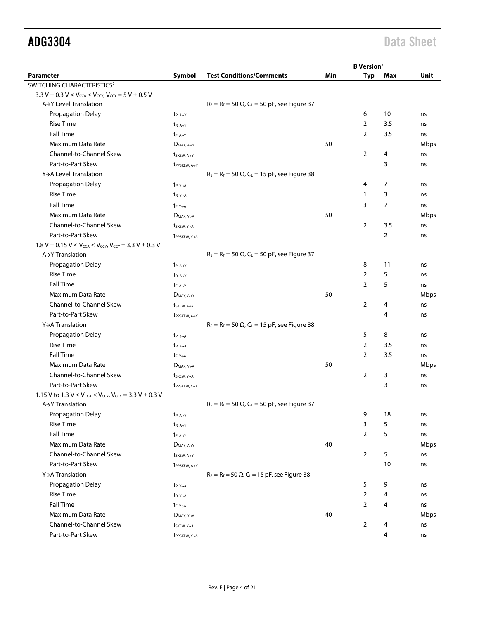|                                                                                                           |                                          |                                                                 |     | <b>B</b> Version <sup>1</sup> |                |      |
|-----------------------------------------------------------------------------------------------------------|------------------------------------------|-----------------------------------------------------------------|-----|-------------------------------|----------------|------|
| <b>Parameter</b>                                                                                          | Symbol                                   | <b>Test Conditions/Comments</b>                                 | Min | <b>Typ</b>                    | Max            | Unit |
| SWITCHING CHARACTERISTICS <sup>2</sup>                                                                    |                                          |                                                                 |     |                               |                |      |
| 3.3 V $\pm$ 0.3 V $\leq$ V <sub>CCA</sub> $\leq$ V <sub>CCY</sub> , V <sub>CCY</sub> = 5 V $\pm$ 0.5 V    |                                          |                                                                 |     |                               |                |      |
| A→Y Level Translation                                                                                     |                                          | $R_s = R_T = 50 \Omega$ , C <sub>L</sub> = 50 pF, see Figure 37 |     |                               |                |      |
| Propagation Delay                                                                                         | $t_{P, A \rightarrow Y}$                 |                                                                 |     | 6                             | 10             | ns   |
| <b>Rise Time</b>                                                                                          | $t_{R, A \rightarrow Y}$                 |                                                                 |     | $\overline{2}$                | 3.5            | ns   |
| <b>Fall Time</b>                                                                                          | $t_{F.A \rightarrow Y}$                  |                                                                 |     | $\overline{2}$                | 3.5            | ns   |
| Maximum Data Rate                                                                                         | $D_{MAX.A \rightarrow Y}$                |                                                                 | 50  |                               |                | Mbps |
| Channel-to-Channel Skew                                                                                   | tskFW. A-Y                               |                                                                 |     | 2                             | 4              | ns   |
| Part-to-Part Skew                                                                                         | t <sub>PPSKEW</sub> , A+Y                |                                                                 |     |                               | 3              | ns   |
| Y→A Level Translation                                                                                     |                                          | $R_s = R_T = 50 \Omega$ , C <sub>L</sub> = 15 pF, see Figure 38 |     |                               |                |      |
| Propagation Delay                                                                                         | $t_{P, Y \rightarrow A}$                 |                                                                 |     | 4                             | 7              | ns   |
| <b>Rise Time</b>                                                                                          | $t_{R, Y \rightarrow A}$                 |                                                                 |     | $\mathbf{1}$                  | 3              | ns   |
| <b>Fall Time</b>                                                                                          | $t_{F, Y \rightarrow A}$                 |                                                                 |     | 3                             | $\overline{7}$ | ns   |
| Maximum Data Rate                                                                                         | $D_{MAX, Y \rightarrow A}$               |                                                                 | 50  |                               |                | Mbps |
| Channel-to-Channel Skew                                                                                   | t <sub>SKEW</sub> , Y <sub>&gt;A</sub>   |                                                                 |     | 2                             | 3.5            | ns   |
| Part-to-Part Skew                                                                                         | <b>t</b> PPSKEW, Y <sub>&gt;A</sub>      |                                                                 |     |                               | $\overline{2}$ | ns   |
| 1.8 V $\pm$ 0.15 V $\leq$ V <sub>CCA</sub> $\leq$ V <sub>CCY</sub> , V <sub>CCY</sub> = 3.3 V $\pm$ 0.3 V |                                          |                                                                 |     |                               |                |      |
| $A \rightarrow Y$ Translation                                                                             |                                          | $R_s = R_T = 50 \Omega$ , C <sub>L</sub> = 50 pF, see Figure 37 |     |                               |                |      |
| Propagation Delay                                                                                         | $t_{P, A \rightarrow Y}$                 |                                                                 |     | 8                             | 11             | ns   |
| <b>Rise Time</b>                                                                                          | $t_{R, A \rightarrow Y}$                 |                                                                 |     | $\overline{2}$                | 5              | ns   |
| <b>Fall Time</b>                                                                                          | $t_{F, A \rightarrow Y}$                 |                                                                 |     | $\overline{2}$                | 5              | ns   |
| Maximum Data Rate                                                                                         | $D_{MAX.A \rightarrow Y}$                |                                                                 | 50  |                               |                | Mbps |
| Channel-to-Channel Skew                                                                                   | t <sub>SKEW</sub> , A <sub>&gt;Y</sub>   |                                                                 |     | $\overline{2}$                | 4              | ns   |
| Part-to-Part Skew                                                                                         | <b>t</b> PPSKEW, A+Y                     |                                                                 |     |                               | 4              | ns   |
| Y→A Translation                                                                                           |                                          | $R_s = R_T = 50 \Omega$ , C <sub>L</sub> = 15 pF, see Figure 38 |     |                               |                |      |
| Propagation Delay                                                                                         | $t_{P, Y \rightarrow A}$                 |                                                                 |     | 5                             | 8              | ns   |
| <b>Rise Time</b>                                                                                          | $t_{R, Y \rightarrow A}$                 |                                                                 |     | $\overline{2}$                | 3.5            | ns   |
| <b>Fall Time</b>                                                                                          | $t_{F, Y \rightarrow A}$                 |                                                                 |     | $\overline{2}$                | 3.5            | ns   |
| Maximum Data Rate                                                                                         | $D_{MAX, Y \rightarrow A}$               |                                                                 | 50  |                               |                | Mbps |
| Channel-to-Channel Skew                                                                                   | t <sub>SKEW</sub> , Y <sub>&gt;A</sub>   |                                                                 |     | $\overline{2}$                | 3              | ns   |
| Part-to-Part Skew                                                                                         |                                          |                                                                 |     |                               | 3              | ns   |
| 1.15 V to 1.3 $V \leq V_{\text{CCA}} \leq V_{\text{CCY}}$ , $V_{\text{CCY}} = 3.3 V \pm 0.3 V$            | <b>t</b> PPSKEW, Y <sub>&gt;A</sub>      |                                                                 |     |                               |                |      |
| $A \rightarrow Y$ Translation                                                                             |                                          | $R_s = R_T = 50 \Omega$ , C <sub>L</sub> = 50 pF, see Figure 37 |     |                               |                |      |
| Propagation Delay                                                                                         | $t_{P, A \rightarrow Y}$                 |                                                                 |     | 9                             | 18             | ns   |
| <b>Rise Time</b>                                                                                          | $t_{R, A \rightarrow Y}$                 |                                                                 |     | 3                             | 5              | ns   |
| <b>Fall Time</b>                                                                                          | $t_{F, A \rightarrow Y}$                 |                                                                 |     | $\overline{2}$                | 5              | ns   |
| Maximum Data Rate                                                                                         | $D_{MAX.A \rightarrow Y}$                |                                                                 | 40  |                               |                | Mbps |
| Channel-to-Channel Skew                                                                                   | t <sub>SKEW</sub> , A <sub>&gt;Y</sub>   |                                                                 |     | $\overline{2}$                | 5              | ns   |
| Part-to-Part Skew                                                                                         |                                          |                                                                 |     |                               | 10             | ns   |
| Y→A Translation                                                                                           | t <sub>PPSKEW</sub> , A+Y                | $R_s = R_T = 50 \Omega$ , C <sub>L</sub> = 15 pF, see Figure 38 |     |                               |                |      |
| Propagation Delay                                                                                         |                                          |                                                                 |     | 5                             | 9              |      |
| <b>Rise Time</b>                                                                                          | $t_{P, Y \rightarrow A}$                 |                                                                 |     | $\overline{2}$                |                | ns   |
| <b>Fall Time</b>                                                                                          | $t_{R, Y \rightarrow A}$                 |                                                                 |     | $\overline{2}$                | 4<br>4         | ns   |
|                                                                                                           | $t_{F, Y \rightarrow A}$                 |                                                                 |     |                               |                | ns   |
| Maximum Data Rate                                                                                         | $D_{MAX, Y \rightarrow A}$               |                                                                 | 40  |                               |                | Mbps |
| Channel-to-Channel Skew                                                                                   | t <sub>SKEW</sub> , Y <sub>&gt;A</sub>   |                                                                 |     | 2                             | 4              | ns   |
| Part-to-Part Skew                                                                                         | t <sub>PPSKEW</sub> , Y <sub>&gt;A</sub> |                                                                 |     |                               | 4              | ns   |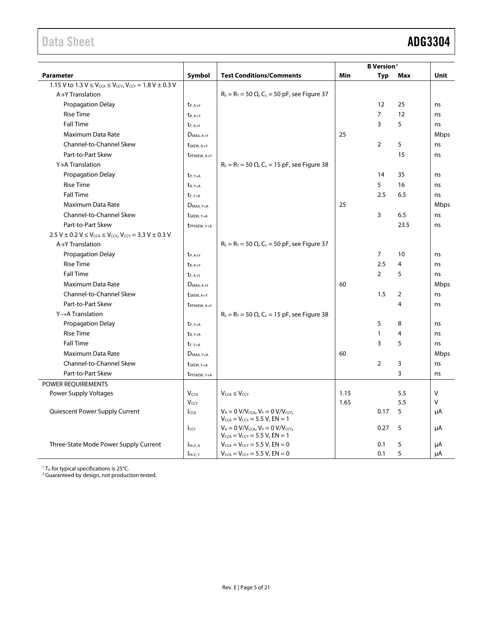<span id="page-4-0"></span>

|                                                                                                          |                                          |                                                                                                         |      | <b>B</b> Version <sup>1</sup> |      |        |
|----------------------------------------------------------------------------------------------------------|------------------------------------------|---------------------------------------------------------------------------------------------------------|------|-------------------------------|------|--------|
| <b>Parameter</b>                                                                                         | Symbol                                   | <b>Test Conditions/Comments</b>                                                                         | Min  | Typ                           | Max  | Unit   |
| 1.15 V to 1.3 $V \leq V_{\text{CCA}} \leq V_{\text{CCY}}$ , $V_{\text{CCY}} = 1.8$ V $\pm$ 0.3 V         |                                          |                                                                                                         |      |                               |      |        |
| $A \rightarrow Y$ Translation                                                                            |                                          | $R_s = R_T = 50 \Omega$ , C <sub>L</sub> = 50 pF, see Figure 37                                         |      |                               |      |        |
| Propagation Delay                                                                                        | $t_{P, A \rightarrow Y}$                 |                                                                                                         |      | 12                            | 25   | ns     |
| <b>Rise Time</b>                                                                                         | $t_{R, A \rightarrow Y}$                 |                                                                                                         |      | $\overline{7}$                | 12   | ns     |
| <b>Fall Time</b>                                                                                         | $t_{F, A \rightarrow Y}$                 |                                                                                                         |      | 3                             | 5    | ns     |
| Maximum Data Rate                                                                                        | $D_{MAX, A \rightarrow Y}$               |                                                                                                         | 25   |                               |      | Mbps   |
| Channel-to-Channel Skew                                                                                  | t <sub>SKEW</sub> , A <sub>&gt;Y</sub>   |                                                                                                         |      | $\overline{2}$                | 5    | ns     |
| Part-to-Part Skew                                                                                        | t <sub>PPSKEW</sub> , A+Y                |                                                                                                         |      |                               | 15   | ns     |
| Y→A Translation                                                                                          |                                          | $R_s = R_T = 50 \Omega$ , C <sub>L</sub> = 15 pF, see Figure 38                                         |      |                               |      |        |
| <b>Propagation Delay</b>                                                                                 | $t_{P, Y \rightarrow A}$                 |                                                                                                         |      | 14                            | 35   | ns     |
| <b>Rise Time</b>                                                                                         | $t_{R, Y \rightarrow A}$                 |                                                                                                         |      | 5                             | 16   | ns     |
| <b>Fall Time</b>                                                                                         | $t_{F, Y \rightarrow A}$                 |                                                                                                         |      | 2.5                           | 6.5  | ns     |
| Maximum Data Rate                                                                                        | $D_{MAX, Y \rightarrow A}$               |                                                                                                         | 25   |                               |      | Mbps   |
| Channel-to-Channel Skew                                                                                  | t <sub>SKEW</sub> , Y <sub>&gt;A</sub>   |                                                                                                         |      | 3                             | 6.5  | ns     |
| Part-to-Part Skew                                                                                        | t <sub>PPSKEW</sub> , Y <sub>&gt;A</sub> |                                                                                                         |      |                               | 23.5 | ns     |
| 2.5 V $\pm$ 0.2 V $\leq$ V <sub>CCA</sub> $\leq$ V <sub>CCY</sub> , V <sub>CCY</sub> = 3.3 V $\pm$ 0.3 V |                                          |                                                                                                         |      |                               |      |        |
| $A \rightarrow Y$ Translation                                                                            |                                          | $R_s = R_T = 50 \Omega$ , C <sub>L</sub> = 50 pF, see Figure 37                                         |      |                               |      |        |
| <b>Propagation Delay</b>                                                                                 | $t_{P, A \rightarrow Y}$                 |                                                                                                         |      | $\overline{7}$                | 10   | ns     |
| <b>Rise Time</b>                                                                                         | $t_{R, A \rightarrow Y}$                 |                                                                                                         |      | 2.5                           | 4    | ns     |
| <b>Fall Time</b>                                                                                         | $t_{F.A \rightarrow Y}$                  |                                                                                                         |      | $\overline{2}$                | 5    | ns     |
| Maximum Data Rate                                                                                        | $D_{MAX.A \rightarrow Y}$                |                                                                                                         | 60   |                               |      | Mbps   |
| <b>Channel-to-Channel Skew</b>                                                                           | $t_{SKEW, A \rightarrow Y}$              |                                                                                                         |      | 1.5                           | 2    | ns     |
| Part-to-Part Skew                                                                                        | t <sub>PPSKEW</sub> , A+Y                |                                                                                                         |      |                               | 4    | ns     |
| $Y \rightarrow A$ Translation                                                                            |                                          | $R_s = R_T = 50 \Omega$ , C <sub>L</sub> = 15 pF, see Figure 38                                         |      |                               |      |        |
| <b>Propagation Delay</b>                                                                                 | $t_{P, Y \rightarrow A}$                 |                                                                                                         |      | 5                             | 8    | ns     |
| <b>Rise Time</b>                                                                                         | $t_{R, Y \rightarrow A}$                 |                                                                                                         |      | $\mathbf{1}$                  | 4    | ns     |
| <b>Fall Time</b>                                                                                         | $t_{F, Y \rightarrow A}$                 |                                                                                                         |      | 3                             | 5    | ns     |
| Maximum Data Rate                                                                                        | $D_{MAX, Y \rightarrow A}$               |                                                                                                         | 60   |                               |      | Mbps   |
| Channel-to-Channel Skew                                                                                  | t <sub>SKEW</sub> , Y <sub>&gt;A</sub>   |                                                                                                         |      | $\overline{2}$                | 3    | ns     |
| Part-to-Part Skew                                                                                        | t <sub>PPSKEW</sub> , Y <sub>&gt;A</sub> |                                                                                                         |      |                               | 3    | ns     |
| POWER REQUIREMENTS                                                                                       |                                          |                                                                                                         |      |                               |      |        |
| Power Supply Voltages                                                                                    | <b>V<sub>CCA</sub></b>                   | $V_{CCA} \leq V_{CCY}$                                                                                  | 1.15 |                               | 5.5  | $\vee$ |
|                                                                                                          | Vccy                                     |                                                                                                         | 1.65 |                               | 5.5  | $\vee$ |
| Quiescent Power Supply Current                                                                           | <b>I</b> CCA                             | $V_A = 0$ V/V <sub>CCA</sub> , $V_Y = 0$ V/V <sub>CCY</sub> ,<br>$V_{CCA} = V_{CCY} = 5.5 V$ , $EN = 1$ |      | 0.17                          | 5    | μA     |
|                                                                                                          | Iccy                                     | $V_A = 0$ V/V <sub>CCA</sub> , $V_Y = 0$ V/V <sub>CCY</sub> ,<br>$V_{CCA} = V_{CCY} = 5.5 V, EN = 1$    |      | 0.27                          | 5    | μA     |
| Three-State Mode Power Supply Current                                                                    | $IHi-Z.A$                                | $V_{CCA} = V_{CCY} = 5.5 V$ , EN = 0                                                                    |      | 0.1                           | 5    | μA     |
|                                                                                                          | Hi-Z, Y                                  | $V_{CCA} = V_{CCY} = 5.5 V$ , $EN = 0$                                                                  |      | 0.1                           | 5    | μA     |

 $1$  T<sub>A</sub> for typical specifications is 25 $^{\circ}$ C.

<sup>2</sup> Guaranteed by design, not production tested.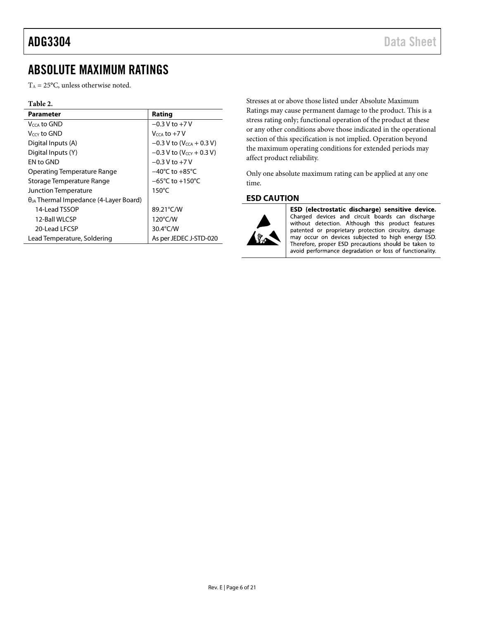# <span id="page-5-0"></span>ABSOLUTE MAXIMUM RATINGS

 $T_A = 25$ °C, unless otherwise noted.

### **Table 2.**

| <b>Parameter</b>                                | Rating                                 |
|-------------------------------------------------|----------------------------------------|
| V <sub>CCA</sub> to GND                         | $-0.3 V$ to $+7 V$                     |
| V <sub>CCY</sub> to GND                         | $V_{CCA}$ to $+7$ V                    |
| Digital Inputs (A)                              | $-0.3$ V to (V <sub>CCA</sub> + 0.3 V) |
| Digital Inputs (Y)                              | $-0.3$ V to (V <sub>CCY</sub> + 0.3 V) |
| FN to GND                                       | $-0.3$ V to $+7$ V                     |
| Operating Temperature Range                     | $-40^{\circ}$ C to $+85^{\circ}$ C     |
| Storage Temperature Range                       | $-65^{\circ}$ C to +150 $^{\circ}$ C   |
| Junction Temperature                            | $150^{\circ}$ C                        |
| $\theta_{JA}$ Thermal Impedance (4-Layer Board) |                                        |
| 14-Lead TSSOP                                   | 89.21°C/W                              |
| 12-Ball WLCSP                                   | 120°C/W                                |
| 20-Lead LECSP                                   | 30.4°C/W                               |
| Lead Temperature, Soldering                     | As per JEDEC J-STD-020                 |

Stresses at or above those listed under Absolute Maximum Ratings may cause permanent damage to the product. This is a stress rating only; functional operation of the product at these or any other conditions above those indicated in the operational section of this specification is not implied. Operation beyond the maximum operating conditions for extended periods may affect product reliability.

Only one absolute maximum rating can be applied at any one time.

### <span id="page-5-1"></span>**ESD CAUTION**



ESD (electrostatic discharge) sensitive device. Charged devices and circuit boards can discharge without detection. Although this product features patented or proprietary protection circuitry, damage may occur on devices subjected to high energy ESD. Therefore, proper ESD precautions should be taken to avoid performance degradation or loss of functionality.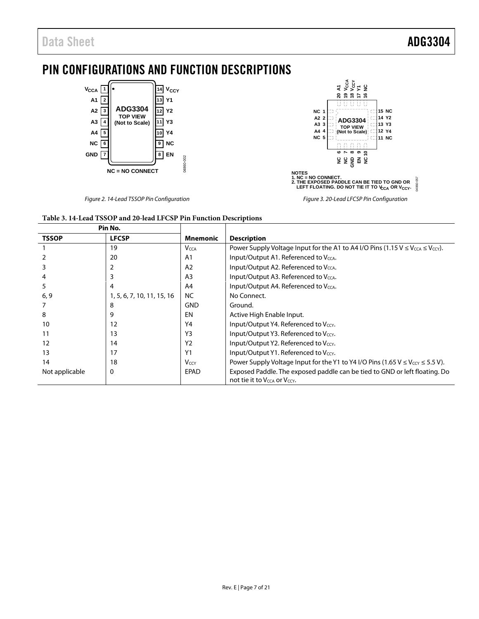# <span id="page-6-0"></span>PIN CONFIGURATIONS AND FUNCTION DESCRIPTIONS



*Figure 2. 14-Lead TSSOP Pin Configuration*



*Figure 3. 20-Lead LFCSP Pin Configuration*

| Table 3. 14-Lead TSSOP and 20-lead LFCSP Pin Function Descriptions |  |
|--------------------------------------------------------------------|--|
| <b>Dis Next</b>                                                    |  |

| Pin No.        |                            |                         |                                                                                                                                    |  |
|----------------|----------------------------|-------------------------|------------------------------------------------------------------------------------------------------------------------------------|--|
| <b>TSSOP</b>   | <b>LFCSP</b>               | <b>Mnemonic</b>         | <b>Description</b>                                                                                                                 |  |
|                | 19                         | <b>V</b> <sub>CCA</sub> | Power Supply Voltage Input for the A1 to A4 I/O Pins (1.15 $V \leq V_{\text{CCA}} \leq V_{\text{cc}}$ ).                           |  |
|                | 20                         | A1                      | Input/Output A1. Referenced to V <sub>CCA</sub> .                                                                                  |  |
|                |                            | A <sub>2</sub>          | Input/Output A2. Referenced to V <sub>CCA</sub> .                                                                                  |  |
|                |                            | A <sub>3</sub>          | Input/Output A3. Referenced to V <sub>CCA</sub> .                                                                                  |  |
|                | 4                          | A4                      | Input/Output A4. Referenced to $V_{\text{CCA}}$ .                                                                                  |  |
| 6, 9           | 1, 5, 6, 7, 10, 11, 15, 16 | NC.                     | No Connect.                                                                                                                        |  |
|                | 8                          | <b>GND</b>              | Ground.                                                                                                                            |  |
| 8              | 9                          | EN                      | Active High Enable Input.                                                                                                          |  |
| 10             | 12                         | Y4                      | Input/Output Y4. Referenced to $V_{\rm CCY}$ .                                                                                     |  |
| 11             | 13                         | Y <sub>3</sub>          | Input/Output Y3. Referenced to Vccy.                                                                                               |  |
| 12             | 14                         | Y <sub>2</sub>          | Input/Output Y2. Referenced to $V_{\text{CCY}}$ .                                                                                  |  |
| 13             | 17                         | Y <sub>1</sub>          | Input/Output Y1. Referenced to Vccy.                                                                                               |  |
| 14             | 18                         | $V_{CCY}$               | Power Supply Voltage Input for the Y1 to Y4 I/O Pins (1.65 V $\leq$ V <sub>CCY</sub> $\leq$ 5.5 V).                                |  |
| Not applicable | 0                          | <b>EPAD</b>             | Exposed Paddle. The exposed paddle can be tied to GND or left floating. Do<br>not tie it to V <sub>CCA</sub> or V <sub>CCY</sub> . |  |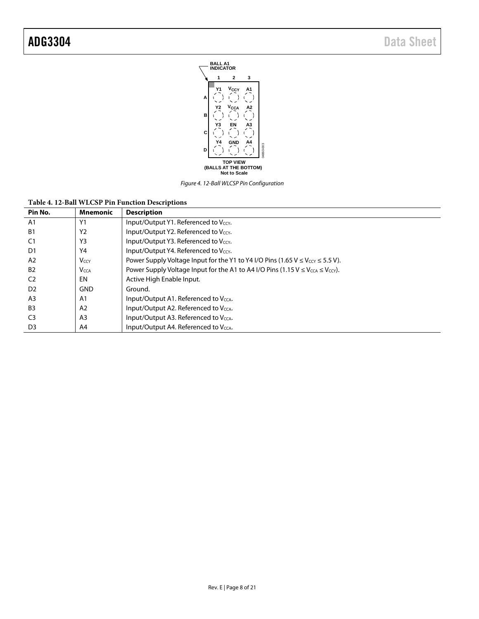

*Figure 4. 12-Ball WLCSP Pin Configuration*

| Table 4. 12-Ball WLCSP Pin Function Descriptions |  |  |  |
|--------------------------------------------------|--|--|--|
|--------------------------------------------------|--|--|--|

| Pin No.        | <b>Mnemonic</b>         | <b>Description</b>                                                                                              |
|----------------|-------------------------|-----------------------------------------------------------------------------------------------------------------|
| A <sub>1</sub> | Y1                      | Input/Output Y1. Referenced to Vccy.                                                                            |
| B1             | Y <sub>2</sub>          | Input/Output Y2. Referenced to Vccy.                                                                            |
|                | Y3                      | Input/Output Y3. Referenced to Vccy.                                                                            |
| D1             | Y4                      | Input/Output Y4. Referenced to Vccy.                                                                            |
| A2             | <b>V</b> <sub>CCY</sub> | Power Supply Voltage Input for the Y1 to Y4 I/O Pins (1.65 $V \leq V_{CCY} \leq 5.5 V$ ).                       |
| <b>B2</b>      | <b>V</b> <sub>CCA</sub> | Power Supply Voltage Input for the A1 to A4 I/O Pins (1.15 V $\leq$ V <sub>CCA</sub> $\leq$ V <sub>CCY</sub> ). |
| C <sub>2</sub> | EN                      | Active High Enable Input.                                                                                       |
| D <sub>2</sub> | <b>GND</b>              | Ground.                                                                                                         |
| A3             | A <sub>1</sub>          | Input/Output A1. Referenced to Vcca.                                                                            |
| B <sub>3</sub> | A <sub>2</sub>          | Input/Output A2. Referenced to V <sub>CCA</sub> .                                                               |
| C3             | A <sub>3</sub>          | Input/Output A3. Referenced to V <sub>CCA</sub> .                                                               |
| D <sub>3</sub> | A4                      | Input/Output A4. Referenced to V <sub>CCA</sub> .                                                               |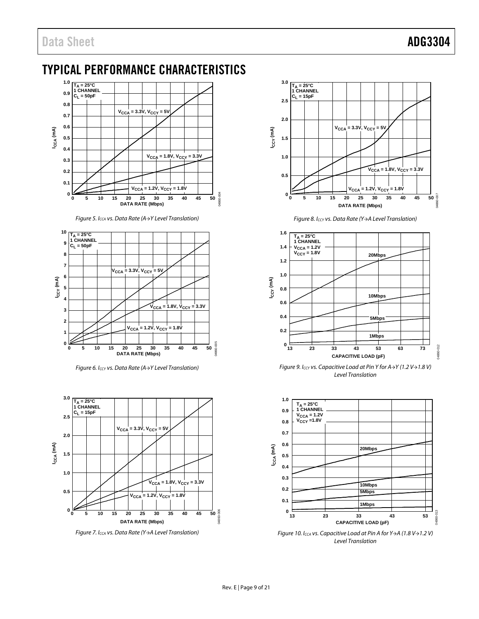# <span id="page-8-0"></span>TYPICAL PERFORMANCE CHARACTERISTICS



*Figure 5. ICCA vs. Data Rate (A→Y Level Translation)*



*Figure 6. ICCY vs. Data Rate (A→Y Level Translation)*



*Figure 7. ICCA vs. Data Rate (Y→A Level Translation)*



*Figure 8. ICCY vs. Data Rate (Y→A Level Translation)*



*Figure 9. ICCY vs. Capacitive Load at Pin Y for A→Y (1.2 V→1.8 V) Level Translation*



*Figure 10. ICCA vs. Capacitive Load at Pin A for Y→A (1.8 V→1.2 V) Level Translation*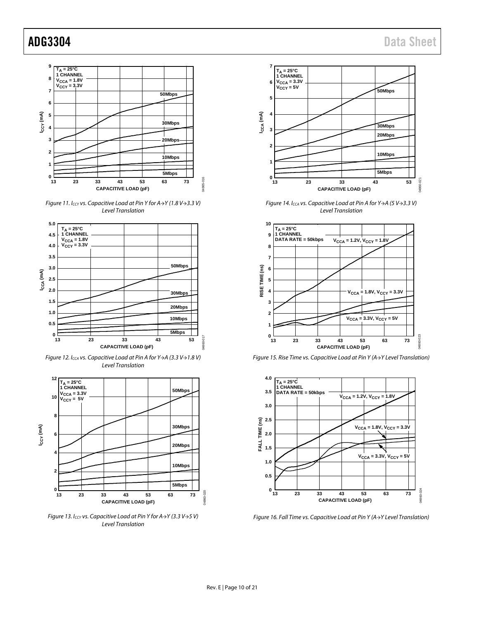

*Figure 11. ICCY vs. Capacitive Load at Pin Y for A→Y (1.8 V→3.3 V) Level Translation*



*Figure 12. ICCA vs. Capacitive Load at Pin A for Y→A (3.3 V→1.8 V) Level Translation*



*Figure 13. ICCY vs. Capacitive Load at Pin Y for A→Y (3.3 V→5 V) Level Translation*



*Figure 14. ICCA vs. Capacitive Load at Pin A for Y→A (5 V→3.3 V) Level Translation*



*Figure 15. Rise Time vs. Capacitive Load at Pin Y (A→Y Level Translation)*



*Figure 16. Fall Time vs. Capacitive Load at Pin Y (A→Y Level Translation)*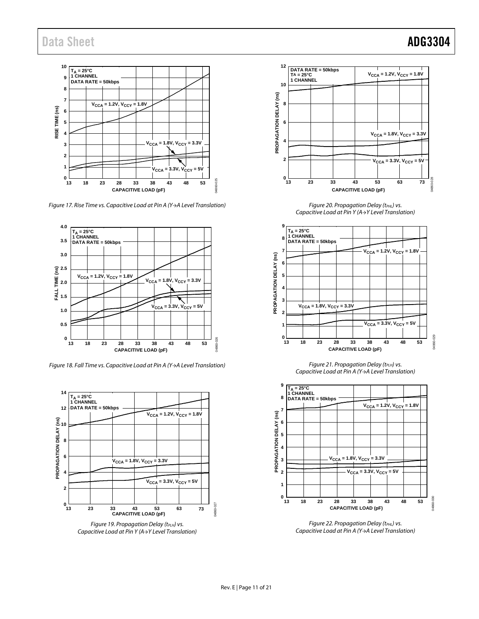

*Figure 17. Rise Time vs. Capacitive Load at Pin A (Y→A Level Translation)*



*Figure 18. Fall Time vs. Capacitive Load at Pin A (Y→A Level Translation)*



**Figure 19. Propagation Delay (tPLH) vs.** *Capacitive Load at Pin Y (A→Y Level Translation)*



**Figure 20. Propagation Delay (tPHL) vs.** *Capacitive Load at Pin Y (A→Y Level Translation)*



*Figure 21. Propagation Delay (t<sub>PLH</sub>) vs. Capacitive Load at Pin A (Y→A Level Translation)*



**Figure 22. Propagation Delay (tPHL) vs.** *Capacitive Load at Pin A (Y→A Level Translation)*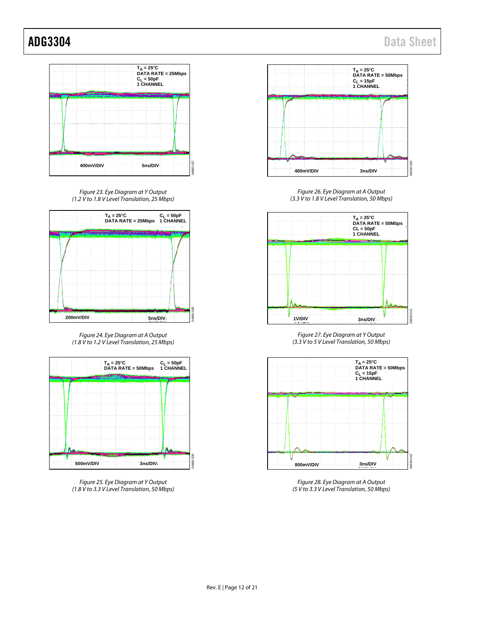

*Figure 23. Eye Diagram at Y Output (1.2 V to 1.8 V Level Translation, 25 Mbps)*



*Figure 24. Eye Diagram at A Output (1.8 V to 1.2 V Level Translation, 25 Mbps)*



*Figure 25. Eye Diagram at Y Output (1.8 V to 3.3 V Level Translation, 50 Mbps)*



*Figure 26. Eye Diagram at A Output (3.3 V to 1.8 V Level Translation, 50 Mbps)*



*Figure 27. Eye Diagram at Y Output (3.3 V to 5 V Level Translation, 50 Mbps)*



*Figure 28. Eye Diagram at A Output (5 V to 3.3 V Level Translation, 50 Mbps)*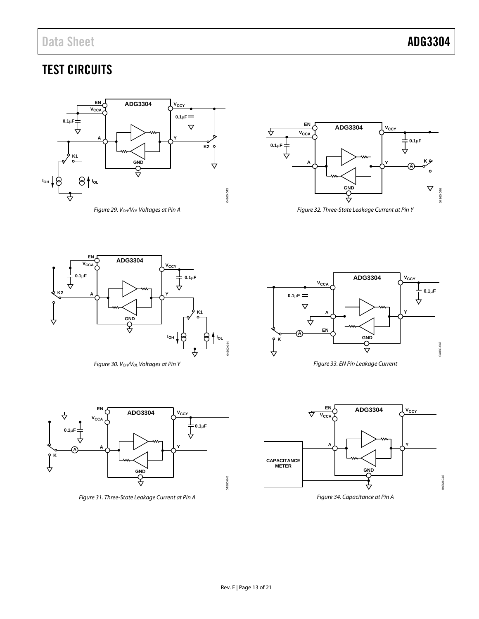# TEST CIRCUITS



*Figure 29. VOH/VOL Voltages at Pin A*



<span id="page-12-4"></span>*Figure 32. Three-State Leakage Current at Pin Y*

<span id="page-12-0"></span>

*Figure 30. VOH/VOL Voltages at Pin Y*

<span id="page-12-3"></span>

<span id="page-12-2"></span>*Figure 31. Three-State Leakage Current at Pin A*



*Figure 33. EN Pin Leakage Current*



<span id="page-12-1"></span>*Figure 34. Capacitance at Pin A*

<span id="page-12-5"></span>04860-044

4860-044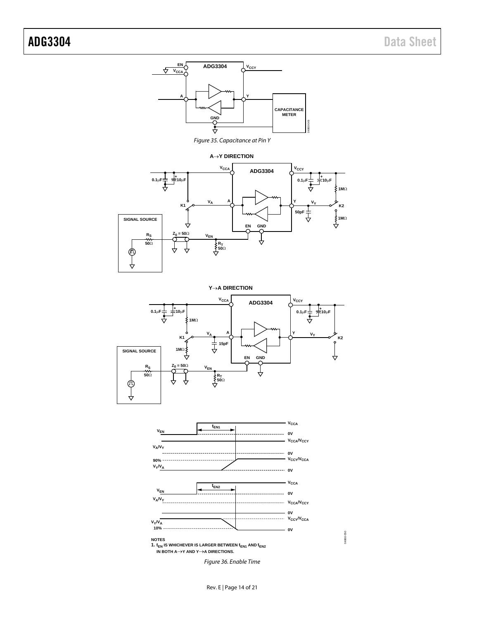<span id="page-13-0"></span>

<span id="page-13-1"></span>04860-050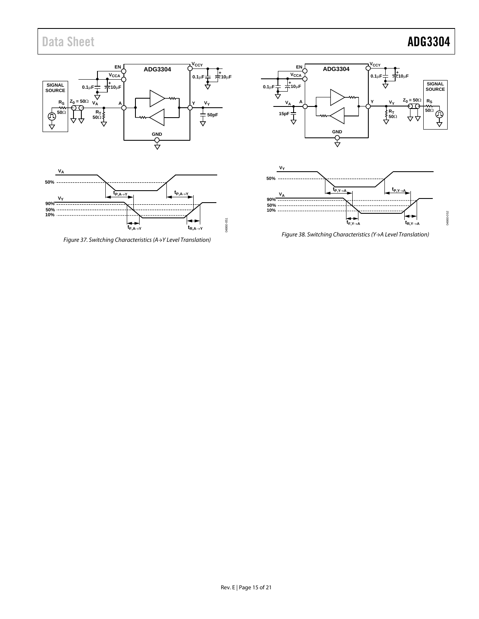

<span id="page-14-1"></span><span id="page-14-0"></span>*Figure 37. Switching Characteristics(A→Y Level Translation)*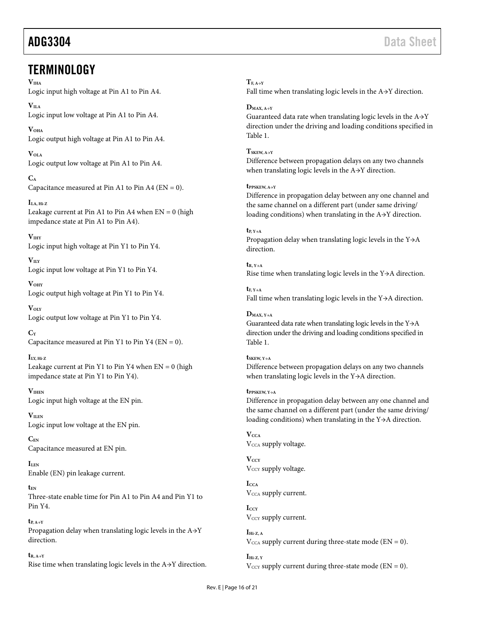## <span id="page-15-0"></span>**TERMINOLOGY**

**VIHA**

Logic input high voltage at Pin A1 to Pin A4.

 $V<sub>II.A</sub>$ Logic input low voltage at Pin A1 to Pin A4.

**VOHA** Logic output high voltage at Pin A1 to Pin A4.

**VOLA** Logic output low voltage at Pin A1 to Pin A4.

**CA** Capacitance measured at Pin A1 to Pin A4 ( $EN = 0$ ).

**ILA, Hi-Z** Leakage current at Pin A1 to Pin A4 when  $EN = 0$  (high impedance state at Pin A1 to Pin A4).

**VIHY** Logic input high voltage at Pin Y1 to Pin Y4.

**VILY** Logic input low voltage at Pin Y1 to Pin Y4.

**VOHY** Logic output high voltage at Pin Y1 to Pin Y4.

**VOLY** Logic output low voltage at Pin Y1 to Pin Y4.

 $C_{\rm V}$ Capacitance measured at Pin Y1 to Pin Y4 ( $EN = 0$ ).

**ILY, Hi-Z** Leakage current at Pin Y1 to Pin Y4 when  $EN = 0$  (high impedance state at Pin Y1 to Pin Y4).

**VIHEN** Logic input high voltage at the EN pin.

**VILEN** Logic input low voltage at the EN pin.

**CEN** Capacitance measured at EN pin.

**ILEN** Enable (EN) pin leakage current.

**tEN** Three-state enable time for Pin A1 to Pin A4 and Pin Y1 to Pin Y4.

 $t_{P, A \rightarrow Y}$ Propagation delay when translating logic levels in the A→Y direction.

**tR, A→Y** Rise time when translating logic levels in the A→Y direction.  $T_{F, A \rightarrow Y}$ 

Fall time when translating logic levels in the A→Y direction.

**DMAX, A→Y**

Guaranteed data rate when translating logic levels in the  $A \rightarrow Y$ direction under the driving and loading conditions specified in [Table 1.](#page-2-1)

**TSKEW, A→Y**

Difference between propagation delays on any two channels when translating logic levels in the A→Y direction.

**tPPSKEW, A→Y**

Difference in propagation delay between any one channel and the same channel on a different part (under same driving/ loading conditions) when translating in the A→Y direction.

**tP, Y→A** Propagation delay when translating logic levels in the Y→A direction.

 $t_{R}$ ,  $v_{\rightarrow A}$ Rise time when translating logic levels in the Y→A direction.

 $t_F, Y \rightarrow A$ Fall time when translating logic levels in the Y→A direction.

**DMAX, Y→A** Guaranteed data rate when translating logic levels in the Y→A direction under the driving and loading conditions specified in [Table 1.](#page-2-1)

**tSKEW, Y→A** Difference between propagation delays on any two channels when translating logic levels in the Y→A direction.

**tPPSKEW, Y→A**

Difference in propagation delay between any one channel and the same channel on a different part (under the same driving/ loading conditions) when translating in the Y→A direction.

 $V_{\text{CCA}}$ V<sub>CCA</sub> supply voltage.

 $V_{CCY}$ V<sub>CCY</sub> supply voltage.

**ICCA** V<sub>CCA</sub> supply current.

**ICCY** V<sub>CCY</sub> supply current.

 $I<sub>Hi-Z, A</sub>$  $V_{\text{CCA}}$  supply current during three-state mode (EN = 0).

 $I<sub>Hi-7</sub>$  y  $V_{\text{CCY}}$  supply current during three-state mode (EN = 0).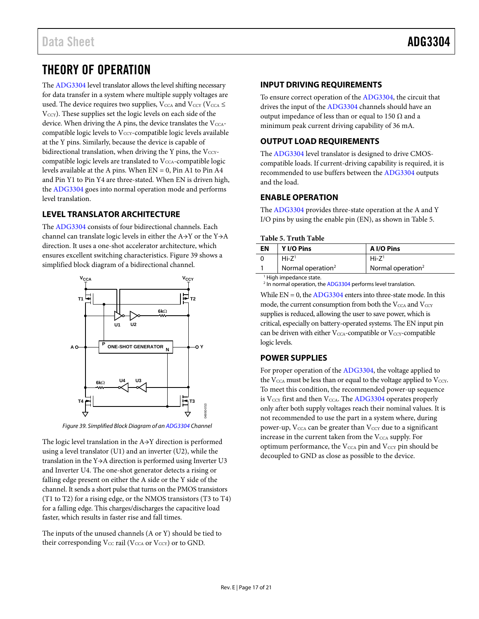# <span id="page-16-0"></span>THEORY OF OPERATION

The [ADG3304](http://www.analog.com/ADG3304?doc=adg3304.pdf) level translator allows the level shifting necessary for data transfer in a system where multiple supply voltages are used. The device requires two supplies,  $V_{\text{CCA}}$  and  $V_{\text{CCY}}$  ( $V_{\text{CCA}}$ ) V<sub>CCY</sub>). These supplies set the logic levels on each side of the device. When driving the A pins, the device translates the  $V_{\text{CCA}}$ compatible logic levels to  $V_{\text{CCY}}$ -compatible logic levels available at the Y pins. Similarly, because the device is capable of bidirectional translation, when driving the Y pins, the  $V_{\text{CCY}}$ compatible logic levels are translated to  $V_{\text{CCA}}$ -compatible logic levels available at the A pins. When  $EN = 0$ , Pin A1 to Pin A4 and Pin Y1 to Pin Y4 are three-stated. When EN is driven high, the [ADG3304](http://www.analog.com/ADG3304?doc=adg3304.pdf) goes into normal operation mode and performs level translation.

## <span id="page-16-1"></span>**LEVEL TRANSLATOR ARCHITECTURE**

The [ADG3304](http://www.analog.com/ADG3304?doc=adg3304.pdf) consists of four bidirectional channels. Each channel can translate logic levels in either the A→Y or the Y→A direction. It uses a one-shot accelerator architecture, which ensures excellent switching characteristics. [Figure 39](#page-16-6) shows a simplified block diagram of a bidirectional channel.



*Figure 39. Simplified Block Diagram of a[n ADG3304](http://www.analog.com/ADG3304?doc=adg3304.pdf) Channel*

<span id="page-16-6"></span>The logic level translation in the A→Y direction is performed using a level translator (U1) and an inverter (U2), while the translation in the Y→A direction is performed using Inverter U3 and Inverter U4. The one-shot generator detects a rising or falling edge present on either the A side or the Y side of the channel. It sends a short pulse that turns on the PMOS transistors (T1 to T2) for a rising edge, or the NMOS transistors (T3 to T4) for a falling edge. This charges/discharges the capacitive load faster, which results in faster rise and fall times.

The inputs of the unused channels (A or Y) should be tied to their corresponding  $V_{CC}$  rail ( $V_{CCA}$  or  $V_{CCY}$ ) or to GND.

## <span id="page-16-2"></span>**INPUT DRIVING REQUIREMENTS**

To ensure correct operation of the [ADG3304,](http://www.analog.com/ADG3304?doc=adg3304.pdf) the circuit that drives the input of th[e ADG3304](http://www.analog.com/ADG3304?doc=adg3304.pdf) channels should have an output impedance of less than or equal to 150  $Ω$  and a minimum peak current driving capability of 36 mA.

## <span id="page-16-3"></span>**OUTPUT LOAD REQUIREMENTS**

The [ADG3304](http://www.analog.com/ADG3304?doc=adg3304.pdf) level translator is designed to drive CMOScompatible loads. If current-driving capability is required, it is recommended to use buffers between th[e ADG3304](http://www.analog.com/ADG3304?doc=adg3304.pdf) outputs and the load.

## <span id="page-16-4"></span>**ENABLE OPERATION**

The [ADG3304](http://www.analog.com/ADG3304?doc=adg3304.pdf) provides three-state operation at the A and Y I/O pins by using the enable pin (EN), as shown i[n Table 5.](#page-16-7)

### <span id="page-16-7"></span>**Table 5. Truth Table**

| EN                                 | Y I/O Pins                    | A I/O Pins                    |  |  |
|------------------------------------|-------------------------------|-------------------------------|--|--|
|                                    | $Hi - 71$                     | $Hi-Z1$                       |  |  |
|                                    | Normal operation <sup>2</sup> | Normal operation <sup>2</sup> |  |  |
| <sup>1</sup> High impedance state. |                               |                               |  |  |

<sup>2</sup> In normal operation, th[e ADG3304](http://www.analog.com/ADG3304?doc=adg3304.pdf) performs level translation.

While  $EN = 0$ , the  $ADG3304$  enters into three-state mode. In this mode, the current consumption from both the  $V_{\text{CCA}}$  and  $V_{\text{CCY}}$ supplies is reduced, allowing the user to save power, which is critical, especially on battery-operated systems. The EN input pin can be driven with either  $V_{\text{CCA}}$ -compatible or  $V_{\text{CCY}}$ -compatible logic levels.

### <span id="page-16-5"></span>**POWER SUPPLIES**

For proper operation of the [ADG3304,](http://www.analog.com/ADG3304?doc=adg3304.pdf) the voltage applied to the  $V_{\text{CCA}}$  must be less than or equal to the voltage applied to  $V_{\text{ccY}}$ . To meet this condition, the recommended power-up sequence is V<sub>CCY</sub> first and then V<sub>CCA</sub>. Th[e ADG3304](http://www.analog.com/ADG3304?doc=adg3304.pdf) operates properly only after both supply voltages reach their nominal values. It is not recommended to use the part in a system where, during power-up,  $V_{\text{CCA}}$  can be greater than  $V_{\text{CCY}}$  due to a significant increase in the current taken from the  $V_{\text{CCA}}$  supply. For optimum performance, the  $V_{\text{CCA}}$  pin and  $V_{\text{CCY}}$  pin should be decoupled to GND as close as possible to the device.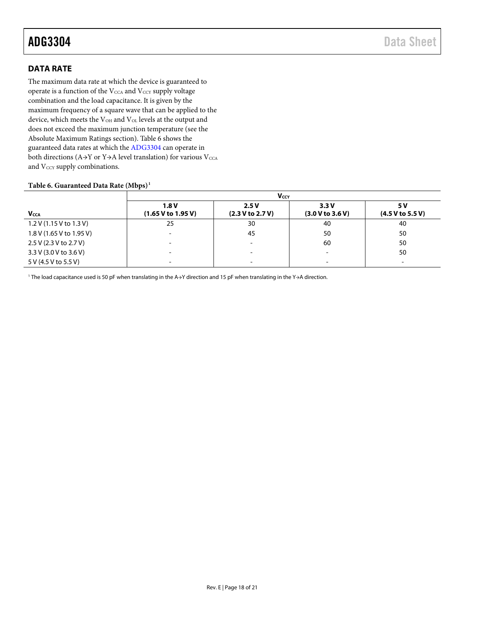## <span id="page-17-0"></span>**DATA RATE**

The maximum data rate at which the device is guaranteed to operate is a function of the  $V_{\rm CCA}$  and  $V_{\rm CCY}$  supply voltage combination and the load capacitance. It is given by the maximum frequency of a square wave that can be applied to the device, which meets the V<sub>OH</sub> and V<sub>OL</sub> levels at the output and does not exceed the maximum junction temperature (see the [Absolute Maximum Ratings](#page-5-0) section)[. Table 6](#page-17-1) shows the guaranteed data rates at which th[e ADG3304](http://www.analog.com/ADG3304?doc=adg3304.pdf) can operate in both directions (A→Y or Y→A level translation) for various  $V_{\rm CCA}$ and Vccy supply combinations.

### <span id="page-17-1"></span>**Table 6. Guaranteed Data Rate (Mbps)1**

|                           | Vccy                       |                          |                          |                         |
|---------------------------|----------------------------|--------------------------|--------------------------|-------------------------|
| <b>Vcca</b>               | 1.8V<br>(1.65 V to 1.95 V) | 2.5V<br>(2.3 V to 2.7 V) | 3.3V<br>(3.0 V to 3.6 V) | 5 V<br>(4.5 V to 5.5 V) |
| $1.2$ V (1.15 V to 1.3 V) | 25                         | 30                       | 40                       | 40                      |
| 1.8 V (1.65 V to 1.95 V)  |                            | 45                       | 50                       | 50                      |
| 2.5 V (2.3 V to 2.7 V)    |                            | $\overline{\phantom{0}}$ | 60                       | 50                      |
| 3.3 V (3.0 V to 3.6 V)    | $\overline{\phantom{0}}$   | $\overline{\phantom{0}}$ | $\overline{\phantom{0}}$ | 50                      |
| 5 V (4.5 V to 5.5 V)      |                            | $\overline{\phantom{a}}$ |                          |                         |

<sup>1</sup> The load capacitance used is 50 pF when translating in the A→Y direction and 15 pF when translating in the Y→A direction.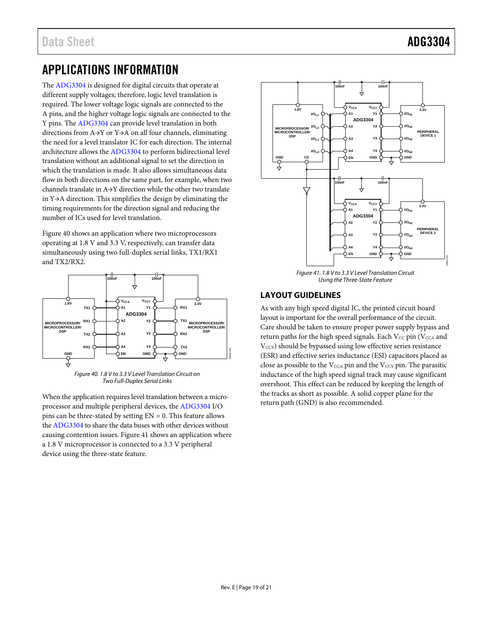# <span id="page-18-0"></span>APPLICATIONS INFORMATION

The [ADG3304](http://www.analog.com/ADG3304?doc=adg3304.pdf) is designed for digital circuits that operate at different supply voltages; therefore, logic level translation is required. The lower voltage logic signals are connected to the A pins, and the higher voltage logic signals are connected to the Y pins. Th[e ADG3304](http://www.analog.com/ADG3304?doc=adg3304.pdf) can provide level translation in both directions from A→Y or Y→A on all four channels, eliminating the need for a level translator IC for each direction. The internal architecture allows th[e ADG3304](http://www.analog.com/ADG3304?doc=adg3304.pdf) to perform bidirectional level translation without an additional signal to set the direction in which the translation is made. It also allows simultaneous data flow in both directions on the same part, for example, when two channels translate in A→Y direction while the other two translate in Y→A direction. This simplifies the design by eliminating the timing requirements for the direction signal and reducing the number of ICs used for level translation.

[Figure](#page-18-2) 40 shows an application where two microprocessors operating at 1.8 V and 3.3 V, respectively, can transfer data simultaneously using two full-duplex serial links, TX1/RX1 and TX2/RX2.



*Two Full-Duplex Serial Links*

<span id="page-18-2"></span>When the application requires level translation between a microprocessor and multiple peripheral devices, th[e ADG3304](http://www.analog.com/ADG3304?doc=adg3304.pdf) I/O pins can be three-stated by setting  $EN = 0$ . This feature allows the [ADG3304](http://www.analog.com/ADG3304?doc=adg3304.pdf) to share the data buses with other devices without causing contention issues[. Figure](#page-18-3) 41 shows an application where a 1.8 V microprocessor is connected to a 3.3 V peripheral device using the three-state feature.



*Figure 41. 1.8 V to 3.3 V Level Translation Circuit Using the Three-State Feature*

## <span id="page-18-3"></span><span id="page-18-1"></span>**LAYOUT GUIDELINES**

As with any high speed digital IC, the printed circuit board layout is important for the overall performance of the circuit. Care should be taken to ensure proper power supply bypass and return paths for the high speed signals. Each  $V_{CC}$  pin ( $V_{CCA}$  and V<sub>CCY</sub>) should be bypassed using low effective series resistance (ESR) and effective series inductance (ESI) capacitors placed as close as possible to the  $V_{CCA}$  pin and the  $V_{CCY}$  pin. The parasitic inductance of the high speed signal track may cause significant overshoot. This effect can be reduced by keeping the length of the tracks as short as possible. A solid copper plane for the return path (GND) is also recommended.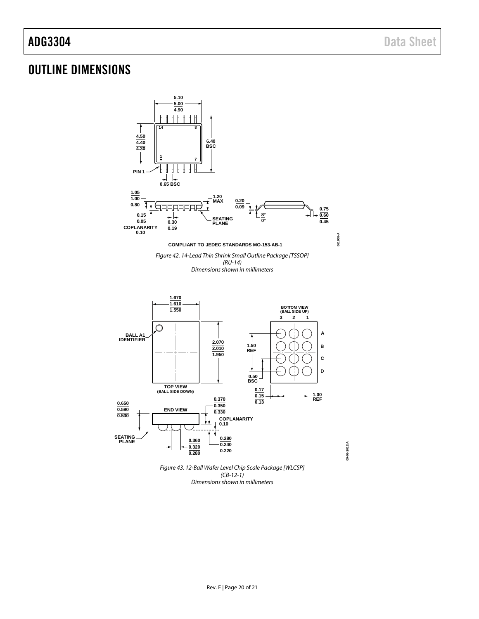## <span id="page-19-0"></span>OUTLINE DIMENSIONS



*Dimensions shown in millimeters*

**09-06-2012-A**

09-06-2012-A